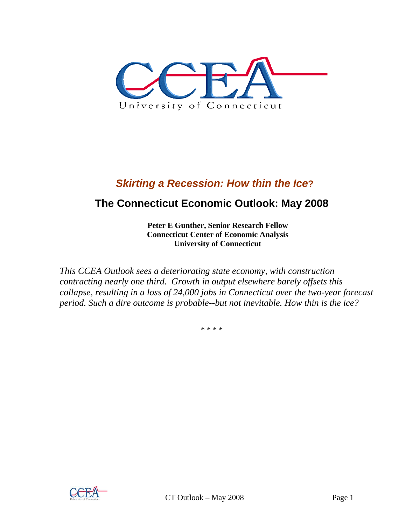

# *Skirting a Recession: How thin the Ice***?**

# **The Connecticut Economic Outlook: May 2008**

**Peter E Gunther, Senior Research Fellow Connecticut Center of Economic Analysis University of Connecticut** 

*This CCEA Outlook sees a deteriorating state economy, with construction contracting nearly one third. Growth in output elsewhere barely offsets this collapse, resulting in a loss of 24,000 jobs in Connecticut over the two-year forecast period. Such a dire outcome is probable--but not inevitable. How thin is the ice?* 

\* \* \* \*

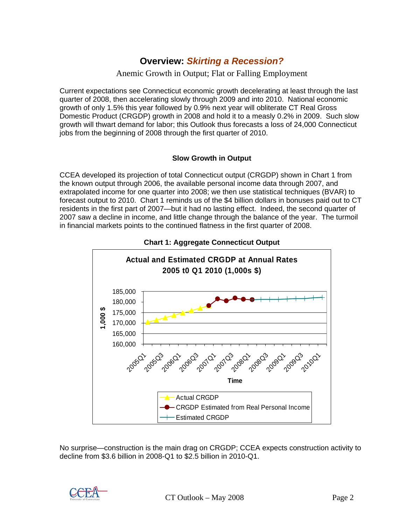## **Overview:** *Skirting a Recession?*

### Anemic Growth in Output; Flat or Falling Employment

Current expectations see Connecticut economic growth decelerating at least through the last quarter of 2008, then accelerating slowly through 2009 and into 2010. National economic growth of only 1.5% this year followed by 0.9% next year will obliterate CT Real Gross Domestic Product (CRGDP) growth in 2008 and hold it to a measly 0.2% in 2009. Such slow growth will thwart demand for labor; this Outlook thus forecasts a loss of 24,000 Connecticut jobs from the beginning of 2008 through the first quarter of 2010.

#### **Slow Growth in Output**

CCEA developed its projection of total Connecticut output (CRGDP) shown in Chart 1 from the known output through 2006, the available personal income data through 2007, and extrapolated income for one quarter into 2008; we then use statistical techniques (BVAR) to forecast output to 2010. Chart 1 reminds us of the \$4 billion dollars in bonuses paid out to CT residents in the first part of 2007—but it had no lasting effect. Indeed, the second quarter of 2007 saw a decline in income, and little change through the balance of the year. The turmoil in financial markets points to the continued flatness in the first quarter of 2008.





No surprise—construction is the main drag on CRGDP; CCEA expects construction activity to decline from \$3.6 billion in 2008-Q1 to \$2.5 billion in 2010-Q1.

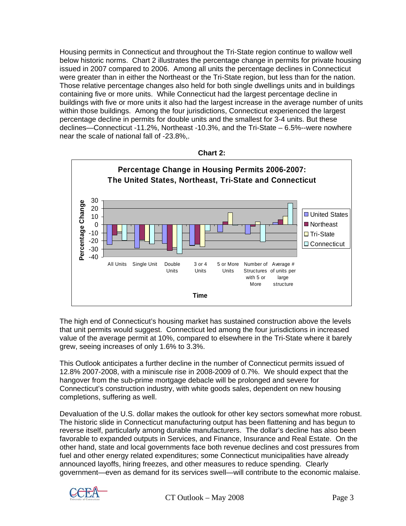Housing permits in Connecticut and throughout the Tri-State region continue to wallow well below historic norms. Chart 2 illustrates the percentage change in permits for private housing issued in 2007 compared to 2006. Among all units the percentage declines in Connecticut were greater than in either the Northeast or the Tri-State region, but less than for the nation. Those relative percentage changes also held for both single dwellings units and in buildings containing five or more units. While Connecticut had the largest percentage decline in buildings with five or more units it also had the largest increase in the average number of units within those buildings. Among the four jurisdictions, Connecticut experienced the largest percentage decline in permits for double units and the smallest for 3-4 units. But these declines—Connecticut -11.2%, Northeast -10.3%, and the Tri-State – 6.5%--were nowhere near the scale of national fall of -23.8%,.





The high end of Connecticut's housing market has sustained construction above the levels that unit permits would suggest. Connecticut led among the four jurisdictions in increased value of the average permit at 10%, compared to elsewhere in the Tri-State where it barely grew, seeing increases of only 1.6% to 3.3%.

This Outlook anticipates a further decline in the number of Connecticut permits issued of 12.8% 2007-2008, with a miniscule rise in 2008-2009 of 0.7%. We should expect that the hangover from the sub-prime mortgage debacle will be prolonged and severe for Connecticut's construction industry, with white goods sales, dependent on new housing completions, suffering as well.

Devaluation of the U.S. dollar makes the outlook for other key sectors somewhat more robust. The historic slide in Connecticut manufacturing output has been flattening and has begun to reverse itself, particularly among durable manufacturers. The dollar's decline has also been favorable to expanded outputs in Services, and Finance, Insurance and Real Estate. On the other hand, state and local governments face both revenue declines and cost pressures from fuel and other energy related expenditures; some Connecticut municipalities have already announced layoffs, hiring freezes, and other measures to reduce spending. Clearly government—even as demand for its services swell—will contribute to the economic malaise.

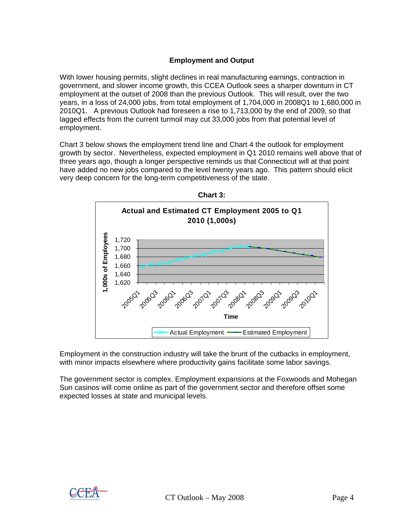### **Employment and Output**

With lower housing permits, slight declines in real manufacturing earnings, contraction in government, and slower income growth, this CCEA Outlook sees a sharper downturn in CT employment at the outset of 2008 than the previous Outlook. This will result, over the two years, in a loss of 24,000 jobs, from total employment of 1,704,000 in 2008Q1 to 1,680,000 in 2010Q1. A previous Outlook had foreseen a rise to 1,713,000 by the end of 2009, so that lagged effects from the current turmoil may cut 33,000 jobs from that potential level of employment.

Chart 3 below shows the employment trend line and Chart 4 the outlook for employment growth by sector. Nevertheless, expected employment in Q1 2010 remains well above that of three years ago, though a longer perspective reminds us that Connecticut will at that point have added no new jobs compared to the level twenty years ago. This pattern should elicit very deep concern for the long-term competitiveness of the state.



Employment in the construction industry will take the brunt of the cutbacks in employment, with minor impacts elsewhere where productivity gains facilitate some labor savings.

The government sector is complex. Employment expansions at the Foxwoods and Mohegan Sun casinos will come online as part of the government sector and therefore offset some expected losses at state and municipal levels.

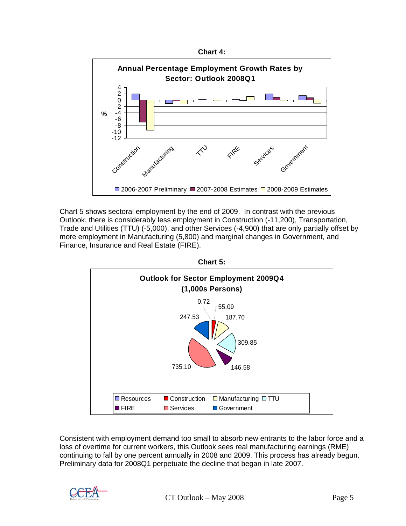



Chart 5 shows sectoral employment by the end of 2009. In contrast with the previous Outlook, there is considerably less employment in Construction (-11,200), Transportation, Trade and Utilities (TTU) (-5,000), and other Services (-4,900) that are only partially offset by more employment in Manufacturing (5,800) and marginal changes in Government, and Finance, Insurance and Real Estate (FIRE).



Consistent with employment demand too small to absorb new entrants to the labor force and a loss of overtime for current workers, this Outlook sees real manufacturing earnings (RME) continuing to fall by one percent annually in 2008 and 2009. This process has already begun. Preliminary data for 2008Q1 perpetuate the decline that began in late 2007.